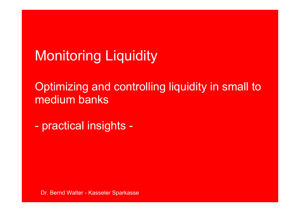# Monitoring Liquidity

Optimizing and controlling liquidity in small to medium banks

practical insights -

Dr. Bernd Walter - Kasseler Sparkasse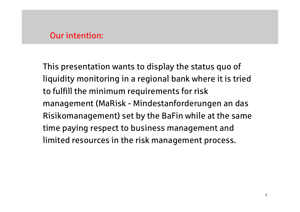#### Our intention:

This presentation wants to display the status quo of liquidity monitoring in a regional bank where it is tried to fulfill the minimum requirements for risk management (MaRisk - Mindestanforderungen an das Risikomanagement) set by the BaFin while at the same time paying respect to business management and limited resources in the risk management process.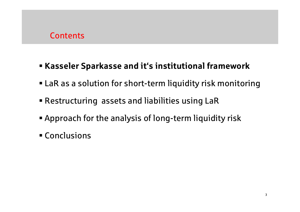#### **Contents**

## Kasseler Sparkasse and it's institutional framework

- LaR as a solution for short-term liquidity risk monitoring
- Restructuring assets and liabilities using LaR
- Approach for the analysis of long-term liquidity risk
- Conclusions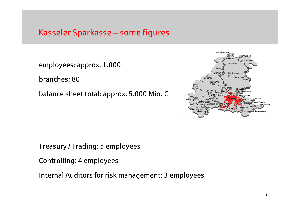#### Kasseler Sparkasse – some figures

employees: approx. 1.000

branches: 80

balance sheet total: approx. 5.000 Mio. €



Treasury / Trading: 5 employees

Controlling: 4 employees

Internal Auditors for risk management: 3 employees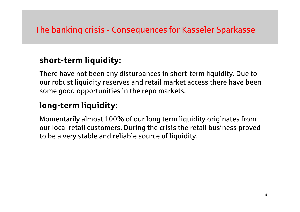## The banking crisis - Consequences for Kasseler Sparkasse

## short-term liquidity:

There have not been any disturbances in short-term liquidity. Due to our robust liquidity reserves and retail market access there have been some good opportunities in the repo markets.

## long-term liquidity:

Momentarily almost 100% of our long term liquidity originates from our local retail customers. During the crisis the retail business proved to be a very stable and reliable source of liquidity.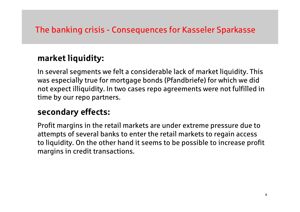## The banking crisis - Consequences for Kasseler Sparkasse

## market liquidity:

In several segments we felt a considerable lack of market liquidity. This was especially true for mortgage bonds (Pfandbriefe) for which we did not expect illiquidity. In two cases repo agreements were not fulfilled in time by our repo partners.

## secondary effects:

Profit margins in the retail markets are under extreme pressure due to attempts of several banks to enter the retail markets to regain access to liquidity. On the other hand it seems to be possible to increase profit margins in credit transactions.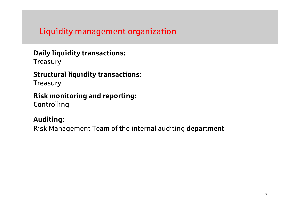#### Liquidity management organization

## Daily liquidity transactions:

**Treasury** 

#### Structural liquidity transactions:

**Treasury** 

#### Risk monitoring and reporting:Controlling

#### Auditing:

Risk Management Team of the internal auditing department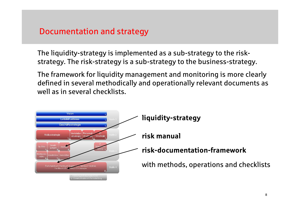#### Documentation and strategy

The liquidity-strategy is implemented as a sub-strategy to the riskstrategy. The risk-strategy is a sub-strategy to the business-strategy.

The framework for liquidity management and monitoring is more clearly defined in several methodically and operationally relevant documents as well as in several checklists.

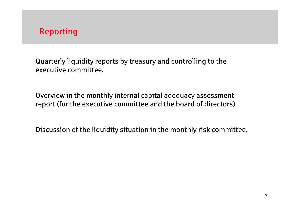Quarterly liquidity reports by treasury and controlling to the executive committee.

Overview in the monthly internal capital adequacy assessment report (for the executive committee and the board of directors).

Discussion of the liquidity situation in the monthly risk committee.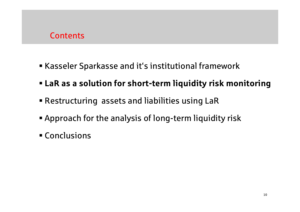#### **Contents**

- Kasseler Sparkasse and it's institutional framework
- LaR as a solution for short-term liquidity risk monitoring
- Restructuring assets and liabilities using LaR
- Approach for the analysis of long-term liquidity risk
- Conclusions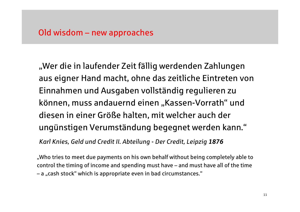"Wer die in laufender Zeit fällig werdenden Zahlungen aus eigner Hand macht, ohne das zeitliche Eintreten von Einnahmen und Ausgaben vollständig regulieren zu können, muss andauernd einen "Kassen-Vorrath" und diesen in einer Größe halten, mit welcher auch der ungünstigen Verumständung begegnet werden kann."

Karl Knies, Geld und Credit II. Abteilung - Der Credit, Leipzig <sup>1876</sup>

"Who tries to meet due payments on his own behalf without being completely able to control the timing of income and spending must have – and must have all of the time – a "cash stock" which is appropriate even in bad circumstances."<br>-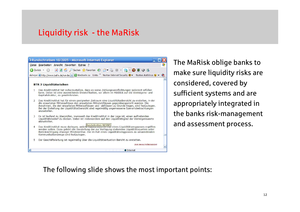#### Liquidity risk - the MaRisk



The MaRisk oblige banks to make sure liquidity risks are considered, covered by sufficient systems and are appropriately integrated in the banks risk-management and assessment process.

The following slide shows the most important points: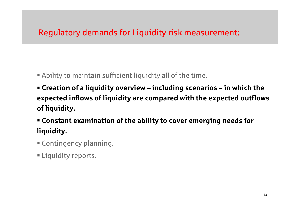## Regulatory demands for Liquidity risk measurement:

- Ability to maintain sufficient liquidity all of the time.
- Creation of a liquidity overview including scenarios in which the expected inflows of liquidity are compared with the expected outflows of liquidity.
- Constant examination of the ability to cover emerging needs for liquidity.
- Contingency planning.
- Liquidity reports.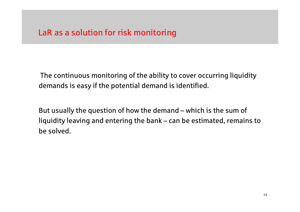The continuous monitoring of the ability to cover occurring liquidity demands is easy if the potential demand is identified.

But usually the question of how the demand – which is the sum of liquidity leaving and entering the bank – can be estimated, remains to be solved.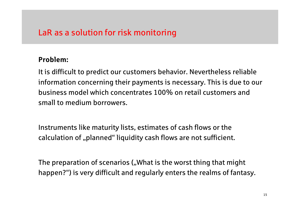#### Problem:

It is difficult to predict our customers behavior. Nevertheless reliable information concerning their payments is necessary. This is due to our business model which concentrates 100% on retail customers and small to medium borrowers.

Instruments like maturity lists, estimates of cash flows or the calculation of "planned" liquidity cash flows are not sufficient.

The preparation of scenarios ("What is the worst thing that might happen?") is very difficult and regularly enters the realms of fantasy.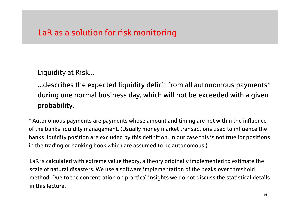Liquidity at Risk...

...describes the expected liquidity deficit from all autonomous payments\* during one normal business day, which will not be exceeded with a given probability.

\* Autonomous payments are payments whose amount and timing are not within the influence of the banks liquidity management. (Usually money market transactions used to influence the banks liquidity position are excluded by this definition. In our case this is not true for positions in the trading or banking book which are assumed to be autonomous.)

LaR is calculated with extreme value theory, a theory originally implemented to estimate the scale of natural disasters. We use a software implementation of the peaks over threshold method. Due to the concentration on practical insights we do not discuss the statistical details in this lecture.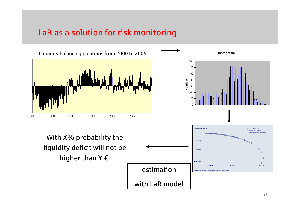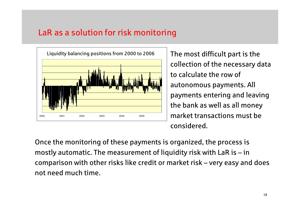

The most difficult part is the collection of the necessary data to calculate the row of autonomous payments. All payments entering and leaving the bank as well as all money market transactions must be considered.

Once the monitoring of these payments is organized, the process is mostly automatic. The measurement of liquidity risk with LaR is – in comparison with other risks like credit or market risk – very easy and does not need much time.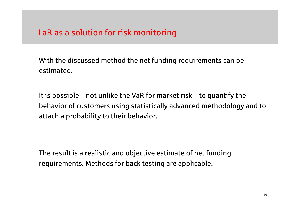With the discussed method the net funding requirements can be estimated.

It is possible – not unlike the VaR for market risk – to quantify the behavior of customers using statistically advanced methodology and to attach a probability to their behavior.

The result is a realistic and objective estimate of net funding requirements. Methods for back testing are applicable.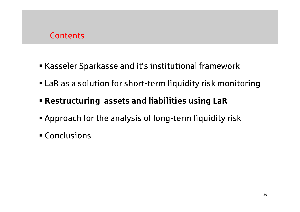#### **Contents**

- Kasseler Sparkasse and it's institutional framework
- LaR as a solution for short-term liquidity risk monitoring
- Restructuring assets and liabilities using LaR
- Approach for the analysis of long-term liquidity risk
- Conclusions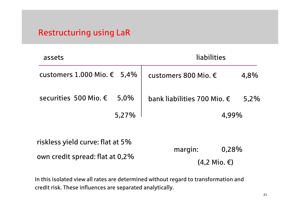| assets                              | liabilities                          |       |  |
|-------------------------------------|--------------------------------------|-------|--|
| customers 1.000 Mio. $€$ 5,4%       | customers 800 Mio. $\epsilon$        | 4,8%  |  |
| securities 500 Mio. €<br>$5.0\%$    | bank liabilities 700 Mio. $\epsilon$ | 5,2%  |  |
| 5,27%                               |                                      | 4,99% |  |
| riskless yield curve: flat at 5%    |                                      |       |  |
|                                     | margin:                              | 0,28% |  |
| own credit spread: flat at 0,2 $\%$ | $(4,2$ Mio. $\epsilon$ )             |       |  |

In this isolated view all rates are determined without regard to transformation and credit risk. These influences are separated analytically.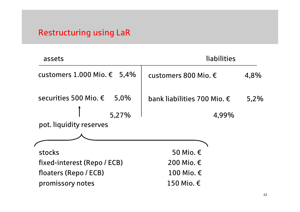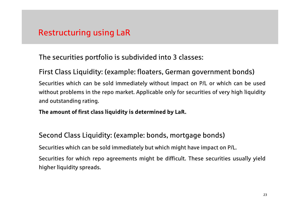The securities portfolio is subdivided into 3 classes:

First Class Liquidity: (example: floaters, German government bonds)

Securities which can be sold immediately without impact on P/L or which can be used without problems in the repo market. Applicable only for securities of very high liquidity and outstanding rating.

The amount of first class liquidity is determined by LaR.

Second Class Liquidity: (example: bonds, mortgage bonds)

Securities which can be sold immediately but which might have impact on P/L.

Securities for which repo agreements might be difficult. These securities usually yield higher liquidity spreads.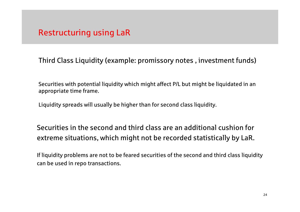Third Class Liquidity (example: promissory notes , investment funds)

Securities with potential liquidity which might affect P/L but might be liquidated in an appropriate time frame.

Liquidity spreads will usually be higher than for second class liquidity.

Securities in the second and third class are an additional cushion for extreme situations, which might not be recorded statistically by LaR.

If liquidity problems are not to be feared securities of the second and third class liquidity can be used in repo transactions.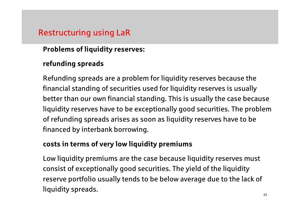#### Problems of liquidity reserves:

#### refunding spreads

Refunding spreads are a problem for liquidity reserves because the financial standing of securities used for liquidity reserves is usually better than our own financial standing. This is usually the case because liquidity reserves have to be exceptionally good securities. The problem of refunding spreads arises as soon as liquidity reserves have to be financed by interbank borrowing.

#### costs in terms of very low liquidity premiums

Low liquidity premiums are the case because liquidity reserves must consist of exceptionally good securities. The yield of the liquidity reserve portfolio usually tends to be below average due to the lack of liquidity spreads.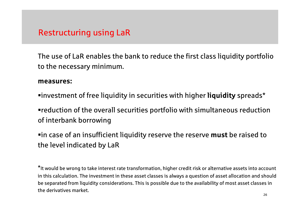The use of LaR enables the bank to reduce the first class liquidity portfolio to the necessary minimum.

#### measures:

 $\blacksquare$ investment of free liquidity in securities with higher **liquidity** spreads $\boldsymbol{*}$ 

reduction of the overall securities portfolio with simultaneous reduction of interbank borrowing

 $\bullet$ in case of an insufficient liquidity reserve the reserve  $\textsf{must}$  be raised to the level indicated by LaR

\*It would be wrong to take interest rate transformation, higher credit risk or alternative assets into account in this calculation. The investment in these asset classes is always a question of asset allocation and should be separated from liquidity considerations. This is possible due to the availability of most asset classes in the derivatives market.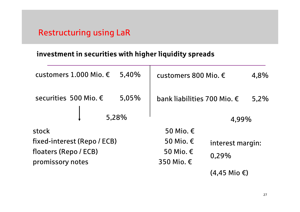#### investment in securities with higher liquidity spreads

| customers 1.000 Mio. €      | 5,40% | customers 800 Mio. €                 |                          | 4,8% |
|-----------------------------|-------|--------------------------------------|--------------------------|------|
| securities 500 Mio. €       | 5,05% | bank liabilities 700 Mio. $\epsilon$ |                          | 5,2% |
|                             | 5,28% |                                      | 4,99%                    |      |
| stock                       |       | 50 Mio. €                            |                          |      |
| fixed-interest (Repo / ECB) |       | 50 Mio. €                            | interest margin:         |      |
| floaters (Repo / ECB)       |       | 50 Mio. €                            | 0,29%                    |      |
| promissory notes            |       | 350 Mio. €                           |                          |      |
|                             |       |                                      | $(4,45$ Mio $\epsilon$ ) |      |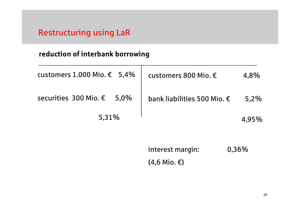#### reduction of interbank borrowing

| customers 1.000 Mio. $€$ 5,4% | customers 800 Mio. $\epsilon$ | 4.8%    |
|-------------------------------|-------------------------------|---------|
| securities 300 Mio. € 5,0%    | bank liabilities 500 Mio. €   | $5.2\%$ |
| 5,31%                         |                               | 4.95%   |

| interest margin:         | 0,36% |
|--------------------------|-------|
| $(4,6$ Mio. $\epsilon$ ) |       |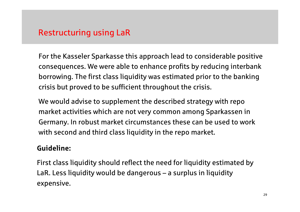For the Kasseler Sparkasse this approach lead to considerable positive consequences. We were able to enhance profits by reducing interbank borrowing. The first class liquidity was estimated prior to the banking crisis but proved to be sufficient throughout the crisis.

We would advise to supplement the described strategy with repo market activities which are not very common among Sparkassen in Germany. In robust market circumstances these can be used to work with second and third class liquidity in the repo market.

#### Guideline:

First class liquidity should reflect the need for liquidity estimated by LaR. Less liquidity would be dangerous – a surplus in liquidity expensive.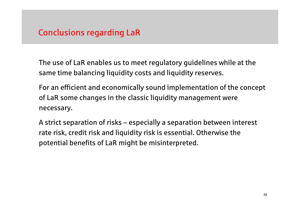## Conclusions regarding LaR

The use of LaR enables us to meet regulatory guidelines while at the same time balancing liquidity costs and liquidity reserves.

For an efficient and economically sound implementation of the concept of LaR some changes in the classic liquidity management were necessary.

A strict separation of risks – especially a separation between interest rate risk, credit risk and liquidity risk is essential. Otherwise the potential benefits of LaR might be misinterpreted.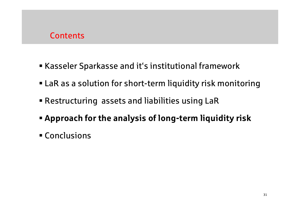#### **Contents**

- Kasseler Sparkasse and it's institutional framework
- LaR as a solution for short-term liquidity risk monitoring
- Restructuring assets and liabilities using LaR
- Approach for the analysis of long-term liquidity risk
- Conclusions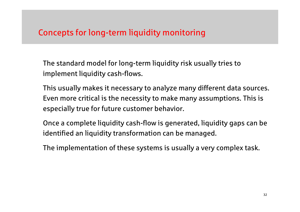## Concepts for long-term liquidity monitoring

The standard model for long-term liquidity risk usually tries to implement liquidity cash-flows.

This usually makes it necessary to analyze many different data sources. Even more critical is the necessity to make many assumptions. This is especially true for future customer behavior.

Once a complete liquidity cash-flow is generated, liquidity gaps can be identified an liquidity transformation can be managed.

The implementation of these systems is usually a very complex task.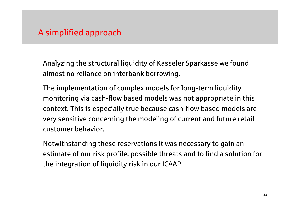#### A simplified approach

Analyzing the structural liquidity of Kasseler Sparkasse we found almost no reliance on interbank borrowing.

The implementation of complex models for long-term liquidity monitoring via cash-flow based models was not appropriate in this context. This is especially true because cash-flow based models are very sensitive concerning the modeling of current and future retail customer behavior.

Notwithstanding these reservations it was necessary to gain an estimate of our risk profile, possible threats and to find a solution for the integration of liquidity risk in our ICAAP.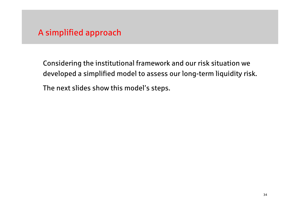#### A simplified approach

Considering the institutional framework and our risk situation we developed a simplified model to assess our long-term liquidity risk.The next slides show this model's steps.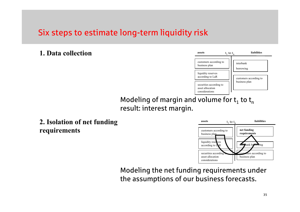

Modeling of margin and volume for  $\mathsf{t}_1$  to  $\mathsf{t}_\mathsf{n}$ result: interest margin.

**2.** Isolation of net funding  $\frac{1}{\sqrt{1 + \frac{1}{n}} \cdot \frac{1}{n}}$  assets  $\frac{1}{n} \cdot \frac{1}{n}$  liabilities requirements



Modeling the net funding requirements under the assumptions of our business forecasts.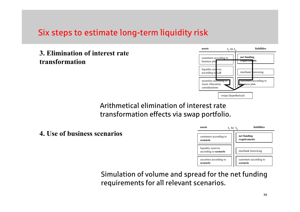#### 3. Elimination of interest rate transformation



Arithmetical elimination of interest rate transformation effects via swap portfolio.

4. Use of business scenarios



Simulation of volume and spread for the net fundingrequirements for all relevant scenarios.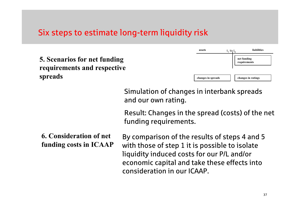|                                                             |                                                                                                                                                                                                                              | assets             | liabilities<br>$t_1$ to $t_n$ |  |
|-------------------------------------------------------------|------------------------------------------------------------------------------------------------------------------------------------------------------------------------------------------------------------------------------|--------------------|-------------------------------|--|
| 5. Scenarios for net funding<br>requirements and respective |                                                                                                                                                                                                                              |                    | net funding<br>requirements   |  |
| spreads                                                     |                                                                                                                                                                                                                              | changes in spreads | changes in ratings            |  |
|                                                             | Simulation of changes in interbank spreads<br>and our own rating.                                                                                                                                                            |                    |                               |  |
|                                                             | Result: Changes in the spread (costs) of the net<br>funding requirements.                                                                                                                                                    |                    |                               |  |
| <b>6. Consideration of net</b><br>funding costs in ICAAP    | By comparison of the results of steps 4 and 5<br>with those of step 1 it is possible to isolate<br>liquidity induced costs for our P/L and/or<br>economic capital and take these effects into<br>consideration in our ICAAP. |                    |                               |  |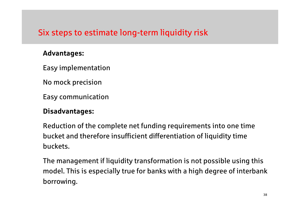#### Advantages:

Easy implementation

No mock precision

Easy communication

#### Disadvantages:

Reduction of the complete net funding requirements into one timebucket and therefore insufficient differentiation of liquidity time buckets.

The management if liquidity transformation is not possible using this model. This is especially true for banks with a high degree of interbank borrowing.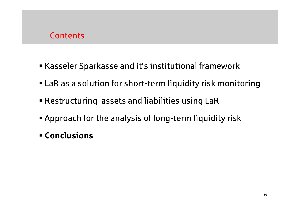#### **Contents**

- Kasseler Sparkasse and it's institutional framework
- LaR as a solution for short-term liquidity risk monitoring
- Restructuring assets and liabilities using LaR
- Approach for the analysis of long-term liquidity risk
- Conclusions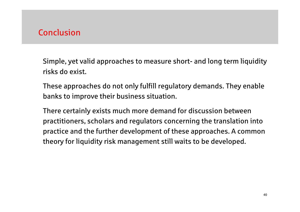#### Conclusion

Simple, yet valid approaches to measure short- and long term liquidity risks do exist.

These approaches do not only fulfill regulatory demands. They enable banks to improve their business situation.

There certainly exists much more demand for discussion between practitioners, scholars and regulators concerning the translation into practice and the further development of these approaches. A common theory for liquidity risk management still waits to be developed.